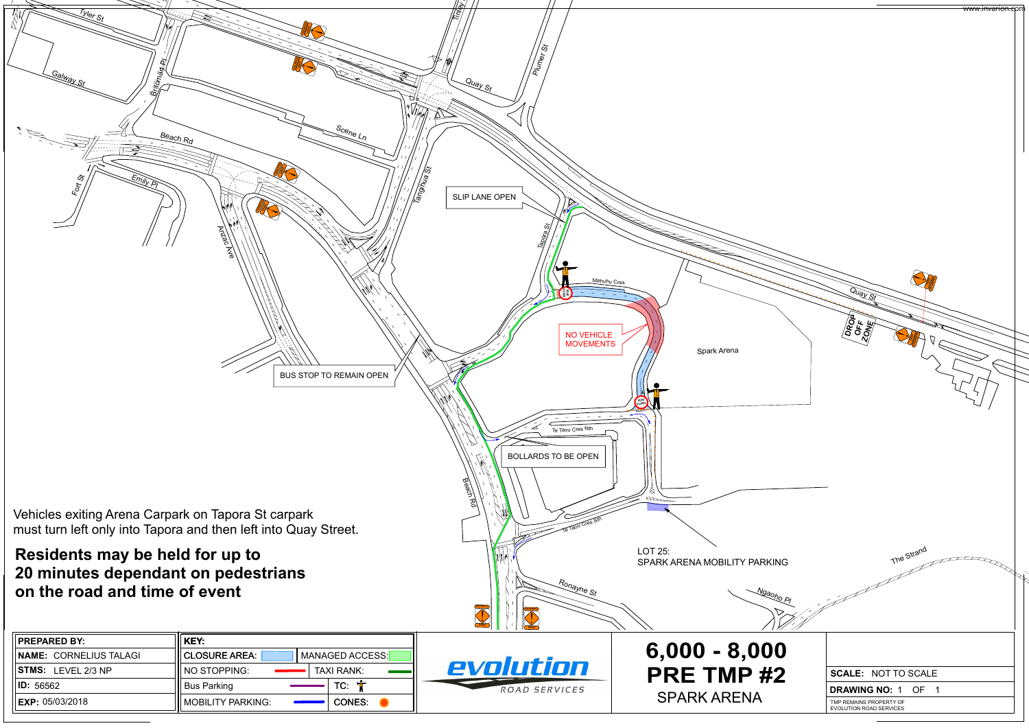